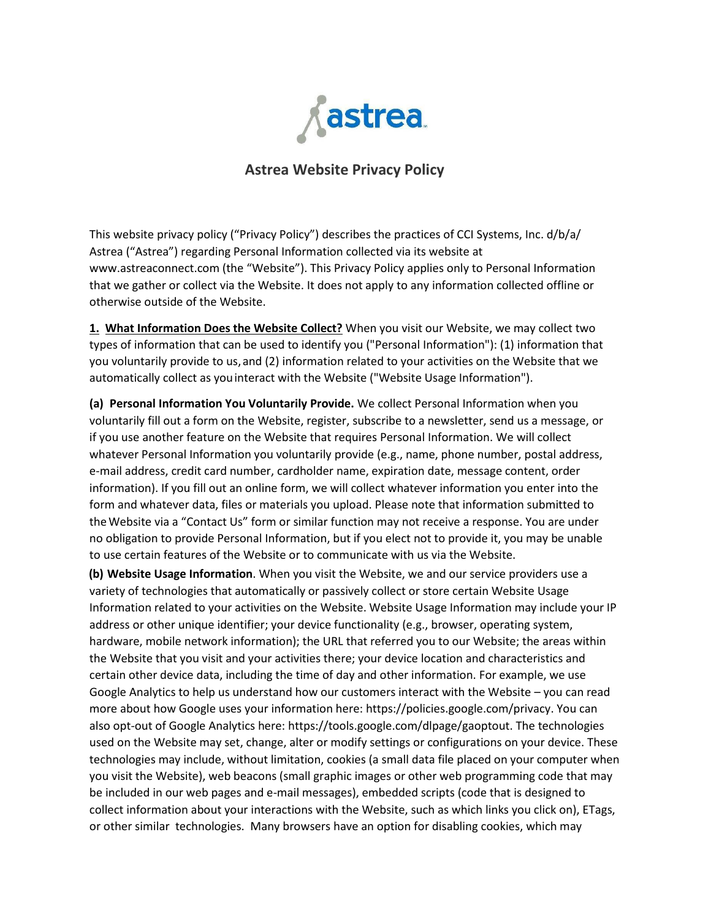

## **Astrea Website Privacy Policy**

This website privacy policy ("Privacy Policy") describes the practices of CCI Systems, Inc. d/b/a/ Astrea ("Astrea") regarding Personal Information collected via its website at www.astreaconnect.com (the "Website"). This Privacy Policy applies only to Personal Information that we gather or collect via the Website. It does not apply to any information collected offline or otherwise outside of the Website.

**1. What Information Does the Website Collect?** When you visit our Website, we may collect two types of information that can be used to identify you ("Personal Information"): (1) information that you voluntarily provide to us,and (2) information related to your activities on the Website that we automatically collect as youinteract with the Website ("Website Usage Information").

**(a) Personal Information You Voluntarily Provide.** We collect Personal Information when you voluntarily fill out a form on the Website, register, subscribe to a newsletter, send us a message, or if you use another feature on the Website that requires Personal Information. We will collect whatever Personal Information you voluntarily provide (e.g., name, phone number, postal address, e-mail address, credit card number, cardholder name, expiration date, message content, order information). If you fill out an online form, we will collect whatever information you enter into the form and whatever data, files or materials you upload. Please note that information submitted to theWebsite via a "Contact Us" form or similar function may not receive a response. You are under no obligation to provide Personal Information, but if you elect not to provide it, you may be unable to use certain features of the Website or to communicate with us via the Website.

**(b) Website Usage Information**. When you visit the Website, we and our service providers use a variety of technologies that automatically or passively collect or store certain Website Usage Information related to your activities on the Website. Website Usage Information may include your IP address or other unique identifier; your device functionality (e.g., browser, operating system, hardware, mobile network information); the URL that referred you to our Website; the areas within the Website that you visit and your activities there; your device location and characteristics and certain other device data, including the time of day and other information. For example, we use Google Analytics to help us understand how our customers interact with the Website – you can read more about how Google uses your information here: https://policies.google.com/privacy. You can also opt-out of Google Analytics here: https://tools.google.com/dlpage/gaoptout. The technologies used on the Website may set, change, alter or modify settings or configurations on your device. These technologies may include, without limitation, cookies (a small data file placed on your computer when you visit the Website), web beacons (small graphic images or other web programming code that may be included in our web pages and e-mail messages), embedded scripts (code that is designed to collect information about your interactions with the Website, such as which links you click on), ETags, or other similar technologies. Many browsers have an option for disabling cookies, which may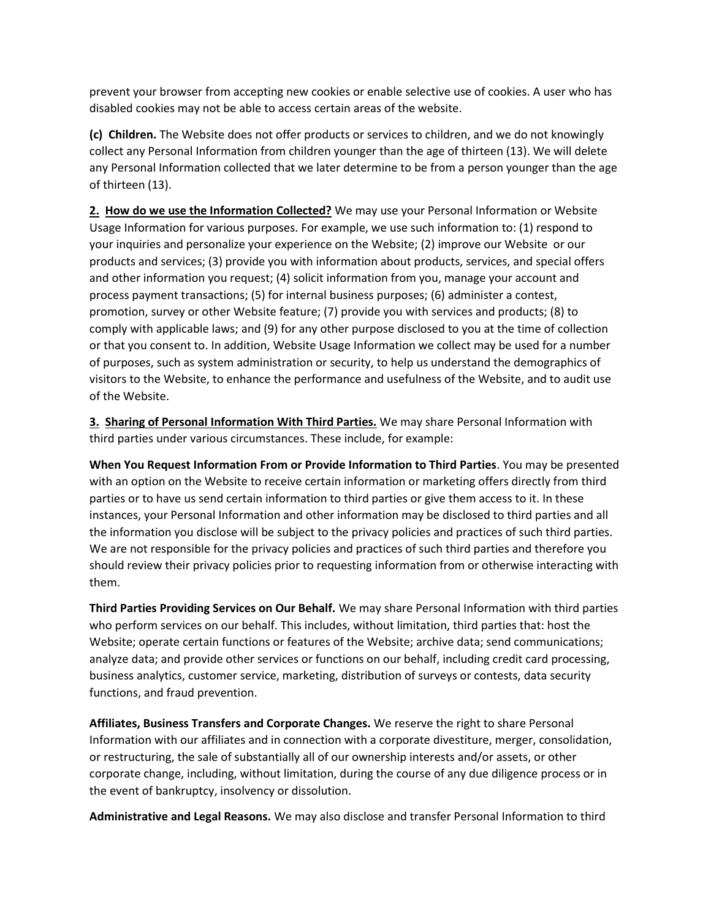prevent your browser from accepting new cookies or enable selective use of cookies. A user who has disabled cookies may not be able to access certain areas of the website.

**(c) Children.** The Website does not offer products or services to children, and we do not knowingly collect any Personal Information from children younger than the age of thirteen (13). We will delete any Personal Information collected that we later determine to be from a person younger than the age of thirteen (13).

**2. How do we use the Information Collected?** We may use your Personal Information or Website Usage Information for various purposes. For example, we use such information to: (1) respond to your inquiries and personalize your experience on the Website; (2) improve our Website or our products and services; (3) provide you with information about products, services, and special offers and other information you request; (4) solicit information from you, manage your account and process payment transactions; (5) for internal business purposes; (6) administer a contest, promotion, survey or other Website feature; (7) provide you with services and products; (8) to comply with applicable laws; and (9) for any other purpose disclosed to you at the time of collection or that you consent to. In addition, Website Usage Information we collect may be used for a number of purposes, such as system administration or security, to help us understand the demographics of visitors to the Website, to enhance the performance and usefulness of the Website, and to audit use of the Website.

**3. Sharing of Personal Information With Third Parties.** We may share Personal Information with third parties under various circumstances. These include, for example:

**When You Request Information From or Provide Information to Third Parties**. You may be presented with an option on the Website to receive certain information or marketing offers directly from third parties or to have us send certain information to third parties or give them access to it. In these instances, your Personal Information and other information may be disclosed to third parties and all the information you disclose will be subject to the privacy policies and practices of such third parties. We are not responsible for the privacy policies and practices of such third parties and therefore you should review their privacy policies prior to requesting information from or otherwise interacting with them.

**Third Parties Providing Services on Our Behalf.** We may share Personal Information with third parties who perform services on our behalf. This includes, without limitation, third parties that: host the Website; operate certain functions or features of the Website; archive data; send communications; analyze data; and provide other services or functions on our behalf, including credit card processing, business analytics, customer service, marketing, distribution of surveys or contests, data security functions, and fraud prevention.

**Affiliates, Business Transfers and Corporate Changes.** We reserve the right to share Personal Information with our affiliates and in connection with a corporate divestiture, merger, consolidation, or restructuring, the sale of substantially all of our ownership interests and/or assets, or other corporate change, including, without limitation, during the course of any due diligence process or in the event of bankruptcy, insolvency or dissolution.

**Administrative and Legal Reasons.** We may also disclose and transfer Personal Information to third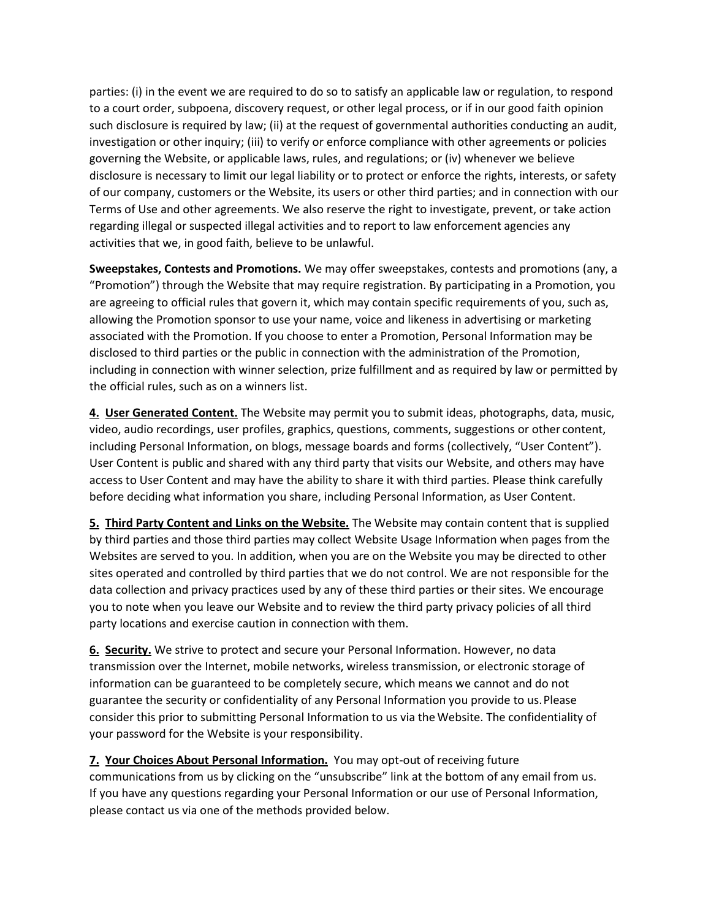parties: (i) in the event we are required to do so to satisfy an applicable law or regulation, to respond to a court order, subpoena, discovery request, or other legal process, or if in our good faith opinion such disclosure is required by law; (ii) at the request of governmental authorities conducting an audit, investigation or other inquiry; (iii) to verify or enforce compliance with other agreements or policies governing the Website, or applicable laws, rules, and regulations; or (iv) whenever we believe disclosure is necessary to limit our legal liability or to protect or enforce the rights, interests, or safety of our company, customers or the Website, its users or other third parties; and in connection with our Terms of Use and other agreements. We also reserve the right to investigate, prevent, or take action regarding illegal or suspected illegal activities and to report to law enforcement agencies any activities that we, in good faith, believe to be unlawful.

**Sweepstakes, Contests and Promotions.** We may offer sweepstakes, contests and promotions (any, a "Promotion") through the Website that may require registration. By participating in a Promotion, you are agreeing to official rules that govern it, which may contain specific requirements of you, such as, allowing the Promotion sponsor to use your name, voice and likeness in advertising or marketing associated with the Promotion. If you choose to enter a Promotion, Personal Information may be disclosed to third parties or the public in connection with the administration of the Promotion, including in connection with winner selection, prize fulfillment and as required by law or permitted by the official rules, such as on a winners list.

**4. User Generated Content.** The Website may permit you to submit ideas, photographs, data, music, video, audio recordings, user profiles, graphics, questions, comments, suggestions or other content, including Personal Information, on blogs, message boards and forms (collectively, "User Content"). User Content is public and shared with any third party that visits our Website, and others may have access to User Content and may have the ability to share it with third parties. Please think carefully before deciding what information you share, including Personal Information, as User Content.

**5. Third Party Content and Links on the Website.** The Website may contain content that is supplied by third parties and those third parties may collect Website Usage Information when pages from the Websites are served to you. In addition, when you are on the Website you may be directed to other sites operated and controlled by third parties that we do not control. We are not responsible for the data collection and privacy practices used by any of these third parties or their sites. We encourage you to note when you leave our Website and to review the third party privacy policies of all third party locations and exercise caution in connection with them.

**6. Security.** We strive to protect and secure your Personal Information. However, no data transmission over the Internet, mobile networks, wireless transmission, or electronic storage of information can be guaranteed to be completely secure, which means we cannot and do not guarantee the security or confidentiality of any Personal Information you provide to us. Please consider this prior to submitting Personal Information to us via theWebsite. The confidentiality of your password for the Website is your responsibility.

**7. Your Choices About Personal Information.** You may opt-out of receiving future communications from us by clicking on the "unsubscribe" link at the bottom of any email from us. If you have any questions regarding your Personal Information or our use of Personal Information, please contact us via one of the methods provided below.